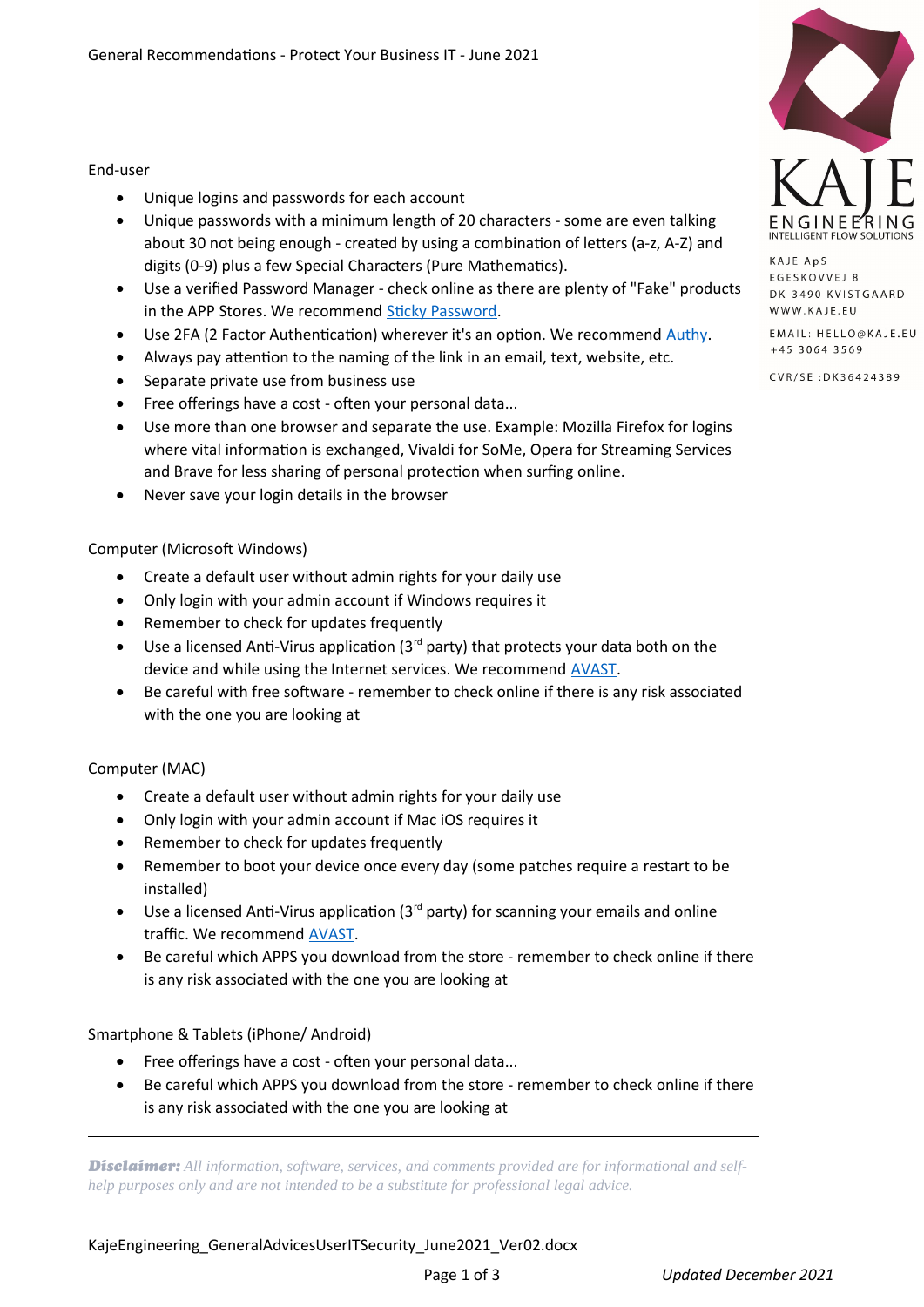### End-user

- Unique logins and passwords for each account
- Unique passwords with a minimum length of 20 characters some are even talking about 30 not being enough - created by using a combination of letters (a-z, A-Z) and digits (0-9) plus a few Special Characters (Pure Mathematics).
- Use a verified Password Manager check online as there are plenty of "Fake" products in the APP Stores. We recommend [Sticky Password](https://kaje.eu/sticky-password).
- Use 2FA (2 Factor Authentication) wherever it's an option. We recommend [Authy](https://authy.com/).
- Always pay attention to the naming of the link in an email, text, website, etc.
- Separate private use from business use
- Free offerings have a cost often your personal data...
- Use more than one browser and separate the use. Example: Mozilla Firefox for logins where vital information is exchanged, Vivaldi for SoMe, Opera for Streaming Services and Brave for less sharing of personal protection when surfing online.
- Never save your login details in the browser

# Computer (Microsoft Windows)

- Create a default user without admin rights for your daily use
- Only login with your admin account if Windows requires it
- Remember to check for updates frequently
- $\bullet$  Use a licensed Anti-Virus application (3<sup>rd</sup> party) that protects your data both on the device and while using the Internet services. We recommend **[AVAST](https://kaje.eu/avast-business)**.
- Be careful with free software remember to check online if there is any risk associated with the one you are looking at

# Computer (MAC)

 $\overline{a}$ 

- Create a default user without admin rights for your daily use
- Only login with your admin account if Mac iOS requires it
- Remember to check for updates frequently
- Remember to boot your device once every day (some patches require a restart to be installed)
- $\bullet$  Use a licensed Anti-Virus application (3<sup>rd</sup> party) for scanning your emails and online traffic. We recommend [AVAST](https://kaje.eu/avast-business).
- Be careful which APPS you download from the store remember to check online if there is any risk associated with the one you are looking at

# Smartphone & Tablets (iPhone/ Android)

- Free offerings have a cost often your personal data...
- Be careful which APPS you download from the store remember to check online if there is any risk associated with the one you are looking at

*Disclaimer: All information, software, services, and comments provided are for informational and selfhelp purposes only and are not intended to be a substitute for professional legal advice.*

KAJE ApS **EGESKOVVEJ 8** DK-3490 KVISTGAARD WWW.KAJE.EU

EMAIL: HELLO@KAJE.EU +45 3064 3569

CVR/SE: DK36424389

KajeEngineering GeneralAdvicesUserITSecurity June2021 Ver02.docx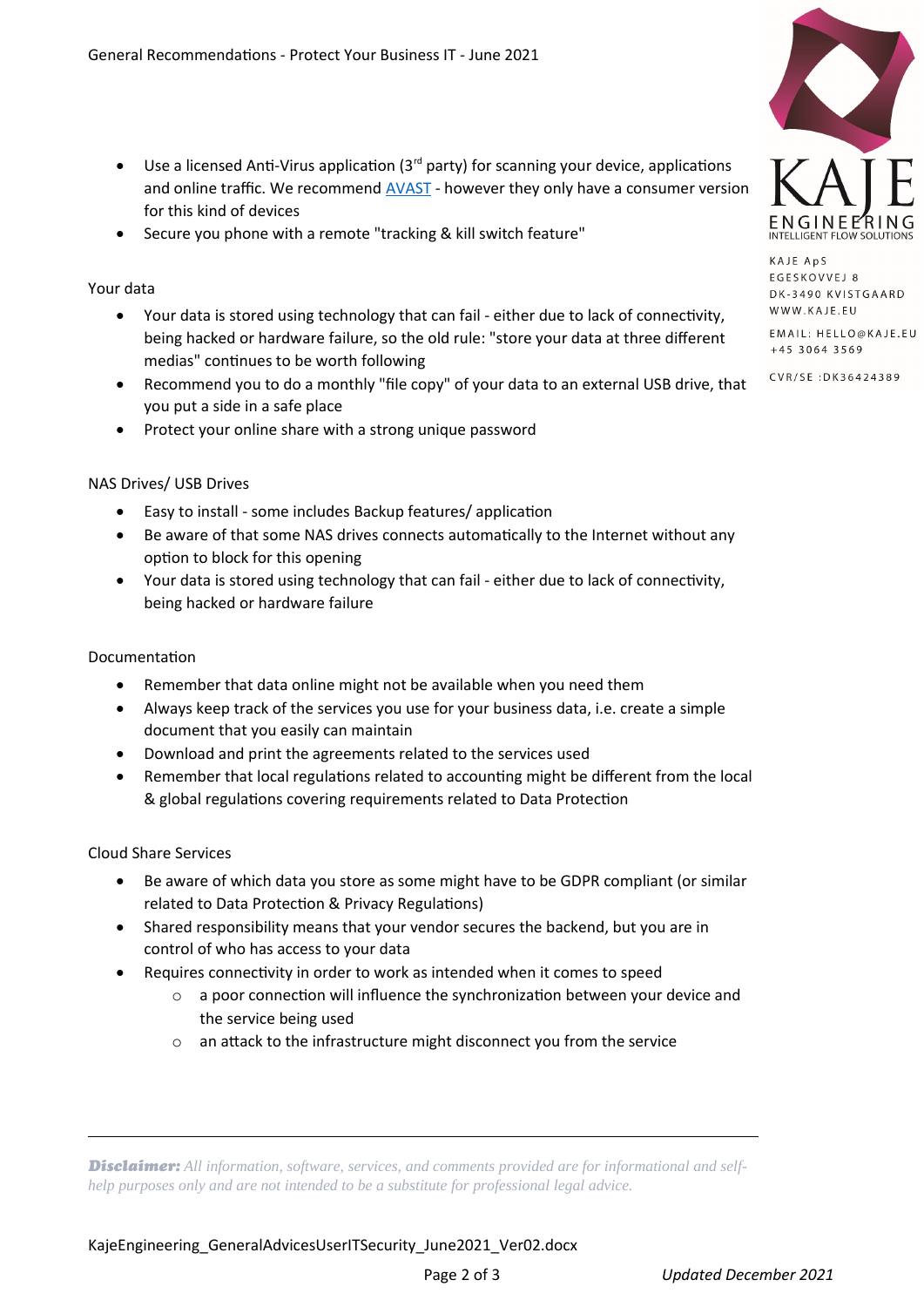- $\bullet$  Use a licensed Anti-Virus application (3<sup>rd</sup> party) for scanning your device, applications and online traffic. We recommend **[AVAST](https://kaje.eu/avast-business)** - however they only have a consumer version for this kind of devices
- Secure you phone with a remote "tracking & kill switch feature"

### Your data

- Your data is stored using technology that can fail either due to lack of connectivity, being hacked or hardware failure, so the old rule: "store your data at three different medias" continues to be worth following
- Recommend you to do a monthly "file copy" of your data to an external USB drive, that you put a side in a safe place
- Protect your online share with a strong unique password

### NAS Drives/ USB Drives

- Easy to install some includes Backup features/ application
- Be aware of that some NAS drives connects automatically to the Internet without any option to block for this opening
- Your data is stored using technology that can fail either due to lack of connectivity, being hacked or hardware failure

#### Documentation

- Remember that data online might not be available when you need them
- Always keep track of the services you use for your business data, i.e. create a simple document that you easily can maintain
- Download and print the agreements related to the services used
- Remember that local regulations related to accounting might be different from the local & global regulations covering requirements related to Data Protection

#### Cloud Share Services

 $\overline{a}$ 

- Be aware of which data you store as some might have to be GDPR compliant (or similar related to Data Protection & Privacy Regulations)
- Shared responsibility means that your vendor secures the backend, but you are in control of who has access to your data
- Requires connectivity in order to work as intended when it comes to speed
	- o a poor connection will influence the synchronization between your device and the service being used
	- o an attack to the infrastructure might disconnect you from the service

*Disclaimer: All information, software, services, and comments provided are for informational and selfhelp purposes only and are not intended to be a substitute for professional legal advice.*



KAJE ApS **EGESKOVVEJ 8** DK-3490 KVISTGAARD WWW.KAJE.EU

EMAIL: HELLO@KAJE.EU +45 3064 3569

CVR/SE: DK36424389